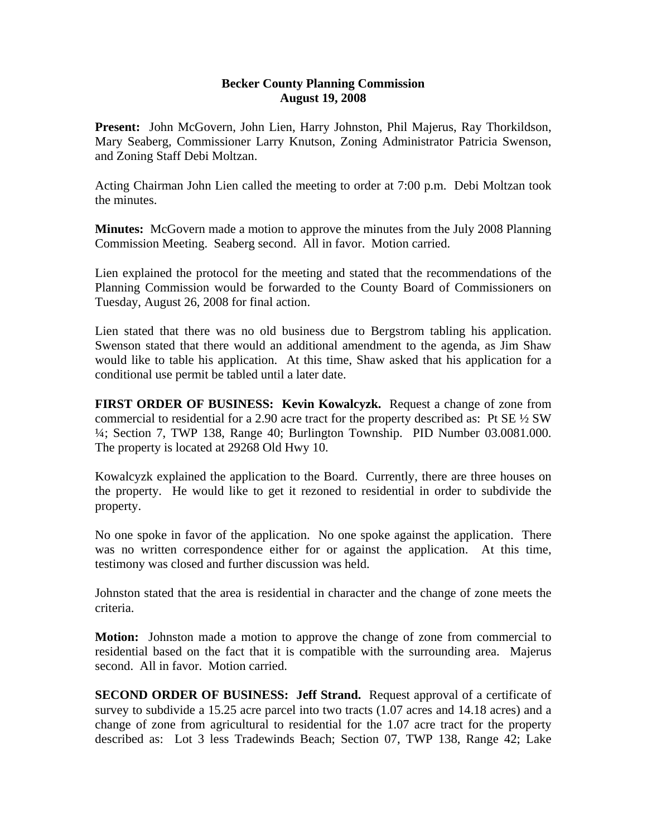## **Becker County Planning Commission August 19, 2008**

**Present:** John McGovern, John Lien, Harry Johnston, Phil Majerus, Ray Thorkildson, Mary Seaberg, Commissioner Larry Knutson, Zoning Administrator Patricia Swenson, and Zoning Staff Debi Moltzan.

Acting Chairman John Lien called the meeting to order at 7:00 p.m. Debi Moltzan took the minutes.

**Minutes:** McGovern made a motion to approve the minutes from the July 2008 Planning Commission Meeting. Seaberg second. All in favor. Motion carried.

Lien explained the protocol for the meeting and stated that the recommendations of the Planning Commission would be forwarded to the County Board of Commissioners on Tuesday, August 26, 2008 for final action.

Lien stated that there was no old business due to Bergstrom tabling his application. Swenson stated that there would an additional amendment to the agenda, as Jim Shaw would like to table his application. At this time, Shaw asked that his application for a conditional use permit be tabled until a later date.

**FIRST ORDER OF BUSINESS: Kevin Kowalcyzk.** Request a change of zone from commercial to residential for a 2.90 acre tract for the property described as: Pt SE ½ SW ¼; Section 7, TWP 138, Range 40; Burlington Township. PID Number 03.0081.000. The property is located at 29268 Old Hwy 10.

Kowalcyzk explained the application to the Board. Currently, there are three houses on the property. He would like to get it rezoned to residential in order to subdivide the property.

No one spoke in favor of the application. No one spoke against the application. There was no written correspondence either for or against the application. At this time, testimony was closed and further discussion was held.

Johnston stated that the area is residential in character and the change of zone meets the criteria.

**Motion:** Johnston made a motion to approve the change of zone from commercial to residential based on the fact that it is compatible with the surrounding area. Majerus second. All in favor. Motion carried.

**SECOND ORDER OF BUSINESS: Jeff Strand.** Request approval of a certificate of survey to subdivide a 15.25 acre parcel into two tracts (1.07 acres and 14.18 acres) and a change of zone from agricultural to residential for the 1.07 acre tract for the property described as: Lot 3 less Tradewinds Beach; Section 07, TWP 138, Range 42; Lake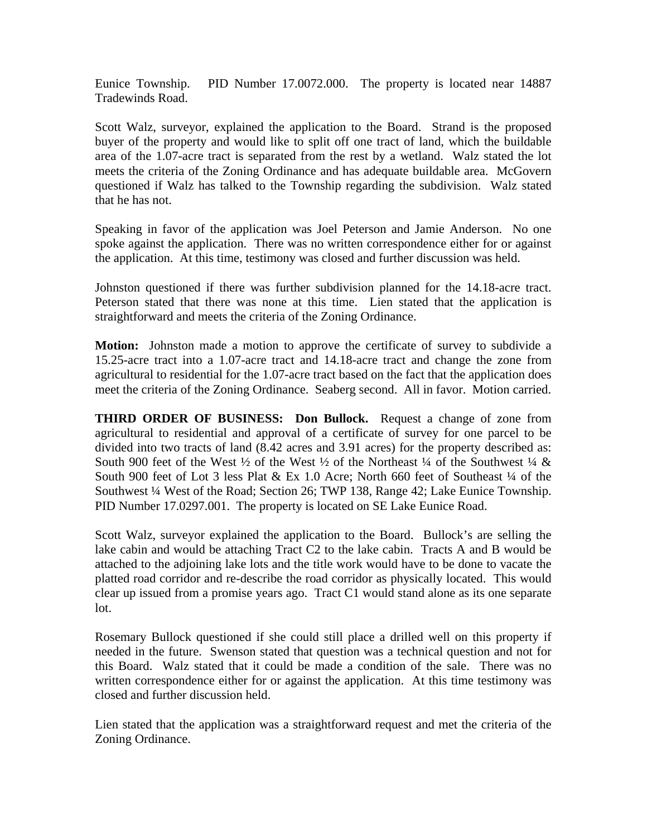Eunice Township. PID Number 17.0072.000. The property is located near 14887 Tradewinds Road.

Scott Walz, surveyor, explained the application to the Board. Strand is the proposed buyer of the property and would like to split off one tract of land, which the buildable area of the 1.07-acre tract is separated from the rest by a wetland. Walz stated the lot meets the criteria of the Zoning Ordinance and has adequate buildable area. McGovern questioned if Walz has talked to the Township regarding the subdivision. Walz stated that he has not.

Speaking in favor of the application was Joel Peterson and Jamie Anderson. No one spoke against the application. There was no written correspondence either for or against the application. At this time, testimony was closed and further discussion was held.

Johnston questioned if there was further subdivision planned for the 14.18-acre tract. Peterson stated that there was none at this time. Lien stated that the application is straightforward and meets the criteria of the Zoning Ordinance.

**Motion:** Johnston made a motion to approve the certificate of survey to subdivide a 15.25-acre tract into a 1.07-acre tract and 14.18-acre tract and change the zone from agricultural to residential for the 1.07-acre tract based on the fact that the application does meet the criteria of the Zoning Ordinance. Seaberg second. All in favor. Motion carried.

**THIRD ORDER OF BUSINESS: Don Bullock.** Request a change of zone from agricultural to residential and approval of a certificate of survey for one parcel to be divided into two tracts of land (8.42 acres and 3.91 acres) for the property described as: South 900 feet of the West  $\frac{1}{2}$  of the West  $\frac{1}{2}$  of the Northeast  $\frac{1}{4}$  of the Southwest  $\frac{1}{4}$  & South 900 feet of Lot 3 less Plat & Ex 1.0 Acre; North 660 feet of Southeast <sup>1</sup>/4 of the Southwest ¼ West of the Road; Section 26; TWP 138, Range 42; Lake Eunice Township. PID Number 17.0297.001. The property is located on SE Lake Eunice Road.

Scott Walz, surveyor explained the application to the Board. Bullock's are selling the lake cabin and would be attaching Tract C2 to the lake cabin. Tracts A and B would be attached to the adjoining lake lots and the title work would have to be done to vacate the platted road corridor and re-describe the road corridor as physically located. This would clear up issued from a promise years ago. Tract C1 would stand alone as its one separate lot.

Rosemary Bullock questioned if she could still place a drilled well on this property if needed in the future. Swenson stated that question was a technical question and not for this Board. Walz stated that it could be made a condition of the sale. There was no written correspondence either for or against the application. At this time testimony was closed and further discussion held.

Lien stated that the application was a straightforward request and met the criteria of the Zoning Ordinance.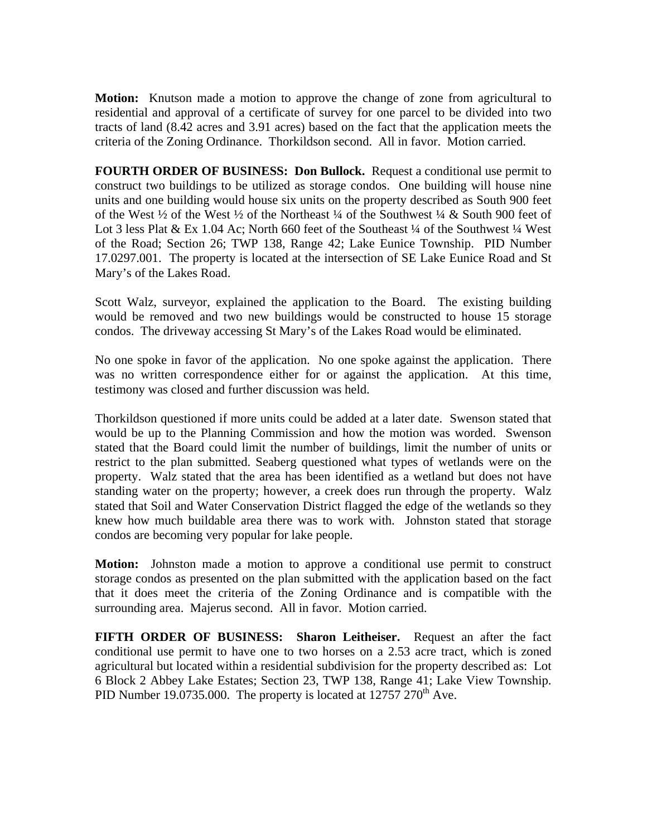**Motion:** Knutson made a motion to approve the change of zone from agricultural to residential and approval of a certificate of survey for one parcel to be divided into two tracts of land (8.42 acres and 3.91 acres) based on the fact that the application meets the criteria of the Zoning Ordinance. Thorkildson second. All in favor. Motion carried.

**FOURTH ORDER OF BUSINESS: Don Bullock.** Request a conditional use permit to construct two buildings to be utilized as storage condos. One building will house nine units and one building would house six units on the property described as South 900 feet of the West  $\frac{1}{2}$  of the West  $\frac{1}{2}$  of the Northeast  $\frac{1}{4}$  of the Southwest  $\frac{1}{4}$  & South 900 feet of Lot 3 less Plat & Ex 1.04 Ac; North 660 feet of the Southeast ¼ of the Southwest ¼ West of the Road; Section 26; TWP 138, Range 42; Lake Eunice Township. PID Number 17.0297.001. The property is located at the intersection of SE Lake Eunice Road and St Mary's of the Lakes Road.

Scott Walz, surveyor, explained the application to the Board. The existing building would be removed and two new buildings would be constructed to house 15 storage condos. The driveway accessing St Mary's of the Lakes Road would be eliminated.

No one spoke in favor of the application. No one spoke against the application. There was no written correspondence either for or against the application. At this time, testimony was closed and further discussion was held.

Thorkildson questioned if more units could be added at a later date. Swenson stated that would be up to the Planning Commission and how the motion was worded. Swenson stated that the Board could limit the number of buildings, limit the number of units or restrict to the plan submitted. Seaberg questioned what types of wetlands were on the property. Walz stated that the area has been identified as a wetland but does not have standing water on the property; however, a creek does run through the property. Walz stated that Soil and Water Conservation District flagged the edge of the wetlands so they knew how much buildable area there was to work with. Johnston stated that storage condos are becoming very popular for lake people.

**Motion:** Johnston made a motion to approve a conditional use permit to construct storage condos as presented on the plan submitted with the application based on the fact that it does meet the criteria of the Zoning Ordinance and is compatible with the surrounding area. Majerus second. All in favor. Motion carried.

**FIFTH ORDER OF BUSINESS: Sharon Leitheiser.** Request an after the fact conditional use permit to have one to two horses on a 2.53 acre tract, which is zoned agricultural but located within a residential subdivision for the property described as: Lot 6 Block 2 Abbey Lake Estates; Section 23, TWP 138, Range 41; Lake View Township. PID Number 19.0735.000. The property is located at  $12757 270<sup>th</sup>$  Ave.